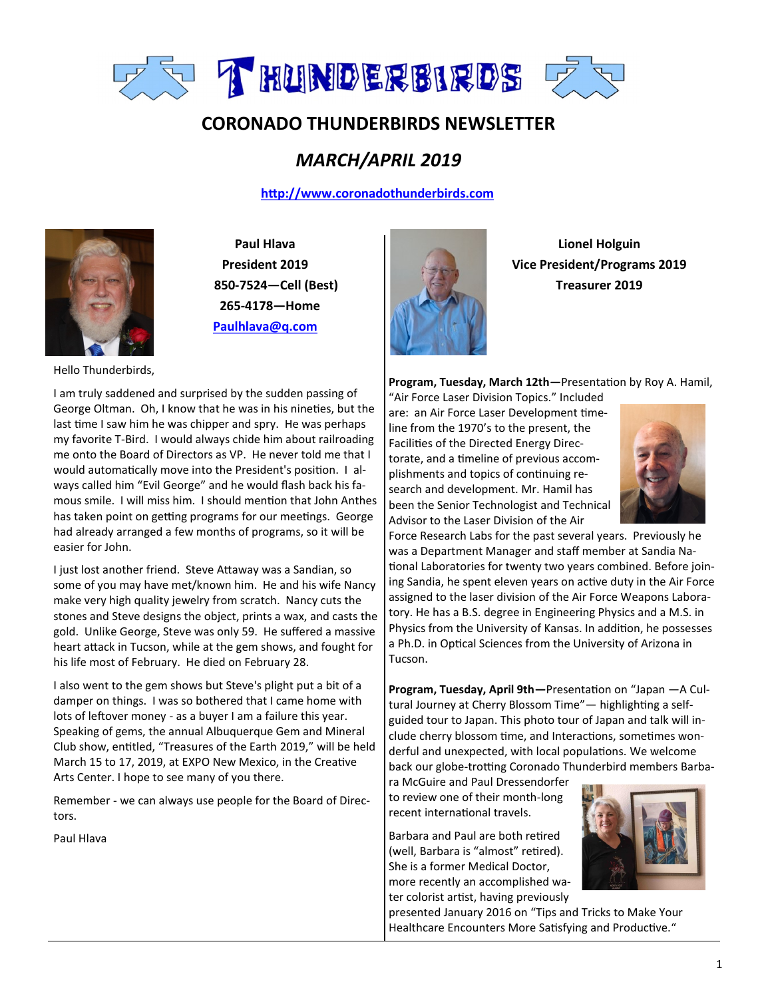

# **CORONADO THUNDERBIRDS NEWSLETTER**

# *MARCH/APRIL 2019*

 **<http://www.coronadothunderbirds.com>**



**Paul Hlava President 2019 850-7524—Cell (Best) 265-4178—Home Paulhlava@q.com**



**Lionel Holguin Vice President/Programs 2019 Treasurer 2019**

**Program, Tuesday, March 12th—**Presentation by Roy A. Hamil,

"Air Force Laser Division Topics." Included are: an Air Force Laser Development timeline from the 1970's to the present, the Facilities of the Directed Energy Directorate, and a timeline of previous accomplishments and topics of continuing research and development. Mr. Hamil has been the Senior Technologist and Technical Advisor to the Laser Division of the Air



Force Research Labs for the past several years. Previously he was a Department Manager and staff member at Sandia National Laboratories for twenty two years combined. Before joining Sandia, he spent eleven years on active duty in the Air Force assigned to the laser division of the Air Force Weapons Laboratory. He has a B.S. degree in Engineering Physics and a M.S. in Physics from the University of Kansas. In addition, he possesses a Ph.D. in Optical Sciences from the University of Arizona in Tucson.

**Program, Tuesday, April 9th—**Presentation on "Japan —A Cultural Journey at Cherry Blossom Time"— highlighting a selfguided tour to Japan. This photo tour of Japan and talk will include cherry blossom time, and Interactions, sometimes wonderful and unexpected, with local populations. We welcome back our globe-trotting Coronado Thunderbird members Barba-

ra McGuire and Paul Dressendorfer to review one of their month-long recent international travels.

Barbara and Paul are both retired (well, Barbara is "almost" retired). She is a former Medical Doctor, more recently an accomplished water colorist artist, having previously



presented January 2016 on "Tips and Tricks to Make Your Healthcare Encounters More Satisfying and Productive."

Hello Thunderbirds,

I am truly saddened and surprised by the sudden passing of George Oltman. Oh, I know that he was in his nineties, but the last time I saw him he was chipper and spry. He was perhaps my favorite T-Bird. I would always chide him about railroading me onto the Board of Directors as VP. He never told me that I would automatically move into the President's position. I always called him "Evil George" and he would flash back his famous smile. I will miss him. I should mention that John Anthes has taken point on getting programs for our meetings. George had already arranged a few months of programs, so it will be easier for John.

I just lost another friend. Steve Attaway was a Sandian, so some of you may have met/known him. He and his wife Nancy make very high quality jewelry from scratch. Nancy cuts the stones and Steve designs the object, prints a wax, and casts the gold. Unlike George, Steve was only 59. He suffered a massive heart attack in Tucson, while at the gem shows, and fought for his life most of February. He died on February 28.

I also went to the gem shows but Steve's plight put a bit of a damper on things. I was so bothered that I came home with lots of leftover money - as a buyer I am a failure this year. Speaking of gems, the annual Albuquerque Gem and Mineral Club show, entitled, "Treasures of the Earth 2019," will be held March 15 to 17, 2019, at EXPO New Mexico, in the Creative Arts Center. I hope to see many of you there.

Remember - we can always use people for the Board of Directors.

Paul Hlava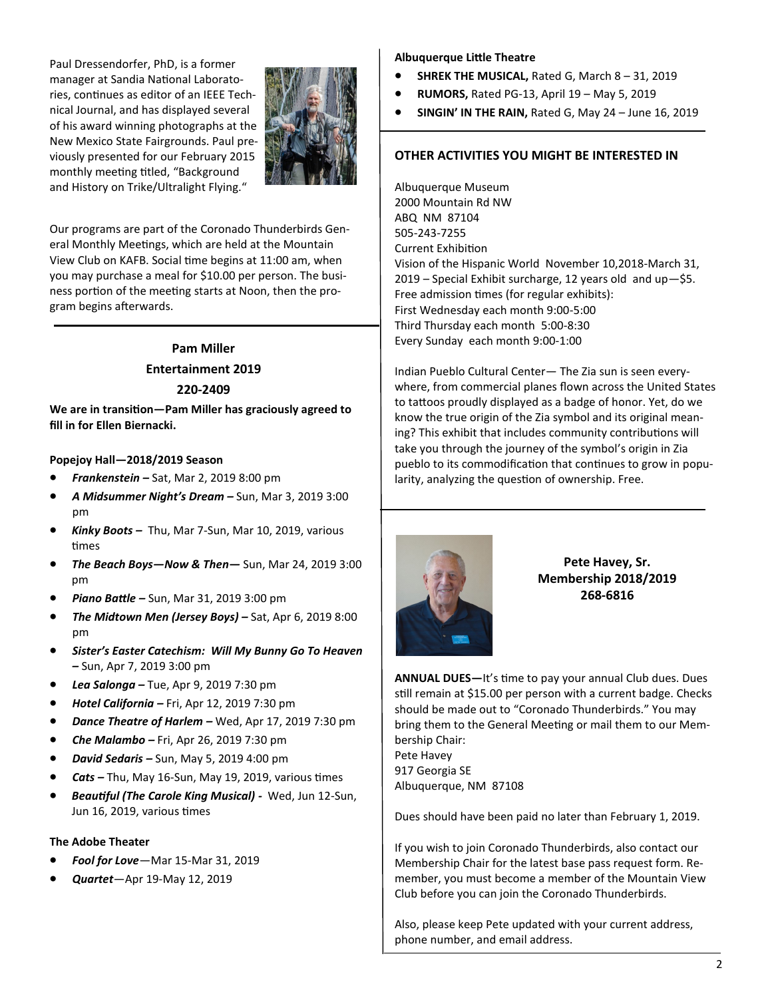Paul Dressendorfer, PhD, is a former manager at Sandia National Laboratories, continues as editor of an IEEE Technical Journal, and has displayed several of his award winning photographs at the New Mexico State Fairgrounds. Paul previously presented for our February 2015 monthly meeting titled, "Background and History on Trike/Ultralight Flying."



Our programs are part of the Coronado Thunderbirds General Monthly Meetings, which are held at the Mountain View Club on KAFB. Social time begins at 11:00 am, when you may purchase a meal for \$10.00 per person. The business portion of the meeting starts at Noon, then the program begins afterwards.

# **Pam Miller Entertainment 2019 220-2409**

**We are in transition—Pam Miller has graciously agreed to fill in for Ellen Biernacki.** 

#### **Popejoy Hall—2018/2019 Season**

- *Frankenstein –* Sat, Mar 2, 2019 8:00 pm
- *A Midsummer Night's Dream –* Sun, Mar 3, 2019 3:00 pm
- *Kinky Boots –* Thu, Mar 7-Sun, Mar 10, 2019, various times
- *The Beach Boys—Now & Then—* Sun, Mar 24, 2019 3:00 pm
- *Piano Battle –* Sun, Mar 31, 2019 3:00 pm
- *The Midtown Men (Jersey Boys) –* Sat, Apr 6, 2019 8:00 pm
- *Sister's Easter Catechism: Will My Bunny Go To Heaven –* Sun, Apr 7, 2019 3:00 pm
- *Lea Salonga –* Tue, Apr 9, 2019 7:30 pm
- *Hotel California –* Fri, Apr 12, 2019 7:30 pm
- *Dance Theatre of Harlem –* Wed, Apr 17, 2019 7:30 pm
- *Che Malambo –* Fri, Apr 26, 2019 7:30 pm
- *David Sedaris –* Sun, May 5, 2019 4:00 pm
- *Cats –* Thu, May 16-Sun, May 19, 2019, various times
- *Beautiful (The Carole King Musical) -* Wed, Jun 12-Sun, Jun 16, 2019, various times

### **The Adobe Theater**

- *Fool for Love*—Mar 15-Mar 31, 2019
- *Quartet*—Apr 19-May 12, 2019

#### **Albuquerque Little Theatre**

- **SHREK THE MUSICAL,** Rated G, March 8 31, 2019
- **RUMORS,** Rated PG-13, April 19 May 5, 2019
- **SINGIN' IN THE RAIN,** Rated G, May 24 June 16, 2019

### **OTHER ACTIVITIES YOU MIGHT BE INTERESTED IN**

Albuquerque Museum 2000 Mountain Rd NW ABQ NM 87104 505-243-7255 Current Exhibition Vision of the Hispanic World November 10,2018-March 31, 2019 – Special Exhibit surcharge, 12 years old and up—\$5. Free admission times (for regular exhibits): First Wednesday each month 9:00-5:00 Third Thursday each month 5:00-8:30 Every Sunday each month 9:00-1:00

Indian Pueblo Cultural Center— The Zia sun is seen everywhere, from commercial planes flown across the United States to tattoos proudly displayed as a badge of honor. Yet, do we know the true origin of the Zia symbol and its original meaning? This exhibit that includes community contributions will take you through the journey of the symbol's origin in Zia pueblo to its commodification that continues to grow in popularity, analyzing the question of ownership. Free.



**Pete Havey, Sr. Membership 2018/2019 268-6816**

**ANNUAL DUES—**It's time to pay your annual Club dues. Dues still remain at \$15.00 per person with a current badge. Checks should be made out to "Coronado Thunderbirds." You may bring them to the General Meeting or mail them to our Membership Chair: Pete Havey 917 Georgia SE Albuquerque, NM 87108

Dues should have been paid no later than February 1, 2019.

If you wish to join Coronado Thunderbirds, also contact our Membership Chair for the latest base pass request form. Remember, you must become a member of the Mountain View Club before you can join the Coronado Thunderbirds.

Also, please keep Pete updated with your current address, phone number, and email address.